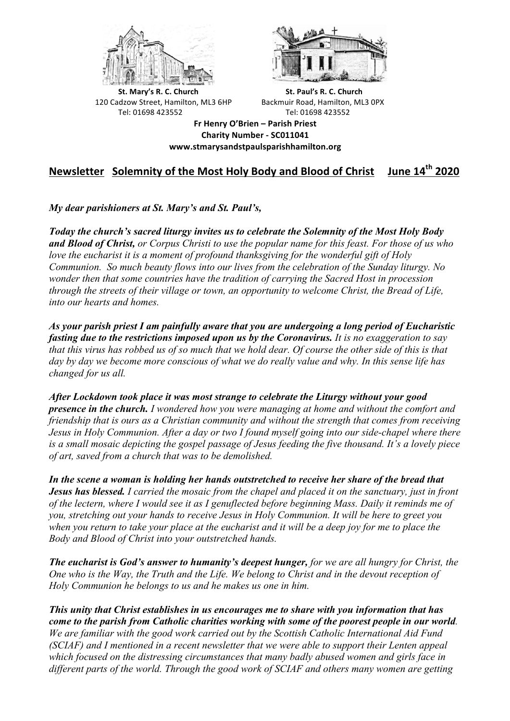



**St.** Mary's R. C. Church St. Paul's R. C. Church 120 Cadzow Street, Hamilton, ML3 6HP Backmuir Road, Hamilton, ML3 0PX Tel: 01698 423552 Tel: 01698 423552

**Fr Henry O'Brien – Parish Priest Charity Number - SC011041 www.stmarysandstpaulsparishhamilton.org**

# **Newsletter Solemnity of the Most Holy Body and Blood of Christ June 14th 2020**

*My dear parishioners at St. Mary's and St. Paul's,*

*Today the church's sacred liturgy invites us to celebrate the Solemnity of the Most Holy Body and Blood of Christ, or Corpus Christi to use the popular name for this feast. For those of us who love the eucharist it is a moment of profound thanksgiving for the wonderful gift of Holy Communion. So much beauty flows into our lives from the celebration of the Sunday liturgy. No wonder then that some countries have the tradition of carrying the Sacred Host in procession through the streets of their village or town, an opportunity to welcome Christ, the Bread of Life, into our hearts and homes.*

*As your parish priest I am painfully aware that you are undergoing a long period of Eucharistic fasting due to the restrictions imposed upon us by the Coronavirus. It is no exaggeration to say that this virus has robbed us of so much that we hold dear. Of course the other side of this is that day by day we become more conscious of what we do really value and why. In this sense life has changed for us all.*

*After Lockdown took place it was most strange to celebrate the Liturgy without your good presence in the church. I wondered how you were managing at home and without the comfort and friendship that is ours as a Christian community and without the strength that comes from receiving Jesus in Holy Communion. After a day or two I found myself going into our side-chapel where there is a small mosaic depicting the gospel passage of Jesus feeding the five thousand. It's a lovely piece of art, saved from a church that was to be demolished.*

*In the scene a woman is holding her hands outstretched to receive her share of the bread that Jesus has blessed. I carried the mosaic from the chapel and placed it on the sanctuary, just in front of the lectern, where I would see it as I genuflected before beginning Mass. Daily it reminds me of you, stretching out your hands to receive Jesus in Holy Communion. It will be here to greet you when you return to take your place at the eucharist and it will be a deep joy for me to place the Body and Blood of Christ into your outstretched hands.*

*The eucharist is God's answer to humanity's deepest hunger, for we are all hungry for Christ, the One who is the Way, the Truth and the Life. We belong to Christ and in the devout reception of Holy Communion he belongs to us and he makes us one in him.*

*This unity that Christ establishes in us encourages me to share with you information that has come to the parish from Catholic charities working with some of the poorest people in our world. We are familiar with the good work carried out by the Scottish Catholic International Aid Fund (SCIAF) and I mentioned in a recent newsletter that we were able to support their Lenten appeal which focused on the distressing circumstances that many badly abused women and girls face in different parts of the world. Through the good work of SCIAF and others many women are getting*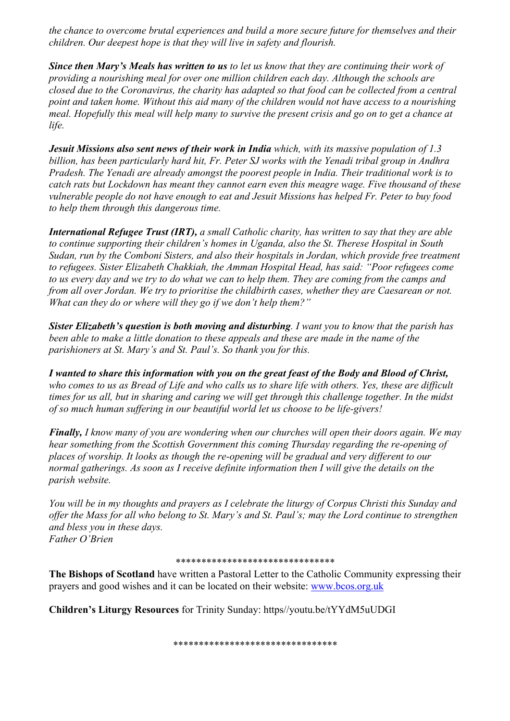*the chance to overcome brutal experiences and build a more secure future for themselves and their children. Our deepest hope is that they will live in safety and flourish.*

*Since then Mary's Meals has written to us to let us know that they are continuing their work of providing a nourishing meal for over one million children each day. Although the schools are closed due to the Coronavirus, the charity has adapted so that food can be collected from a central point and taken home. Without this aid many of the children would not have access to a nourishing meal. Hopefully this meal will help many to survive the present crisis and go on to get a chance at life.*

*Jesuit Missions also sent news of their work in India which, with its massive population of 1.3 billion, has been particularly hard hit, Fr. Peter SJ works with the Yenadi tribal group in Andhra Pradesh. The Yenadi are already amongst the poorest people in India. Their traditional work is to catch rats but Lockdown has meant they cannot earn even this meagre wage. Five thousand of these vulnerable people do not have enough to eat and Jesuit Missions has helped Fr. Peter to buy food to help them through this dangerous time.*

*International Refugee Trust (IRT), a small Catholic charity, has written to say that they are able to continue supporting their children's homes in Uganda, also the St. Therese Hospital in South Sudan, run by the Comboni Sisters, and also their hospitals in Jordan, which provide free treatment to refugees. Sister Elizabeth Chakkiah, the Amman Hospital Head, has said: "Poor refugees come to us every day and we try to do what we can to help them. They are coming from the camps and from all over Jordan. We try to prioritise the childbirth cases, whether they are Caesarean or not. What can they do or where will they go if we don't help them?"*

*Sister Elizabeth's question is both moving and disturbing. I want you to know that the parish has been able to make a little donation to these appeals and these are made in the name of the parishioners at St. Mary's and St. Paul's. So thank you for this.*

*I wanted to share this information with you on the great feast of the Body and Blood of Christ, who comes to us as Bread of Life and who calls us to share life with others. Yes, these are difficult times for us all, but in sharing and caring we will get through this challenge together. In the midst of so much human suffering in our beautiful world let us choose to be life-givers!*

*Finally, I know many of you are wondering when our churches will open their doors again. We may hear something from the Scottish Government this coming Thursday regarding the re-opening of places of worship. It looks as though the re-opening will be gradual and very different to our normal gatherings. As soon as I receive definite information then I will give the details on the parish website.*

*You will be in my thoughts and prayers as I celebrate the liturgy of Corpus Christi this Sunday and offer the Mass for all who belong to St. Mary's and St. Paul's; may the Lord continue to strengthen and bless you in these days. Father O'Brien*

#### \*\*\*\*\*\*\*\*\*\*\*\*\*\*\*\*\*\*\*\*\*\*\*\*\*\*\*\*\*\*\*

**The Bishops of Scotland** have written a Pastoral Letter to the Catholic Community expressing their prayers and good wishes and it can be located on their website: www.bcos.org.uk

**Children's Liturgy Resources** for Trinity Sunday: https//youtu.be/tYYdM5uUDGI

\*\*\*\*\*\*\*\*\*\*\*\*\*\*\*\*\*\*\*\*\*\*\*\*\*\*\*\*\*\*\*\*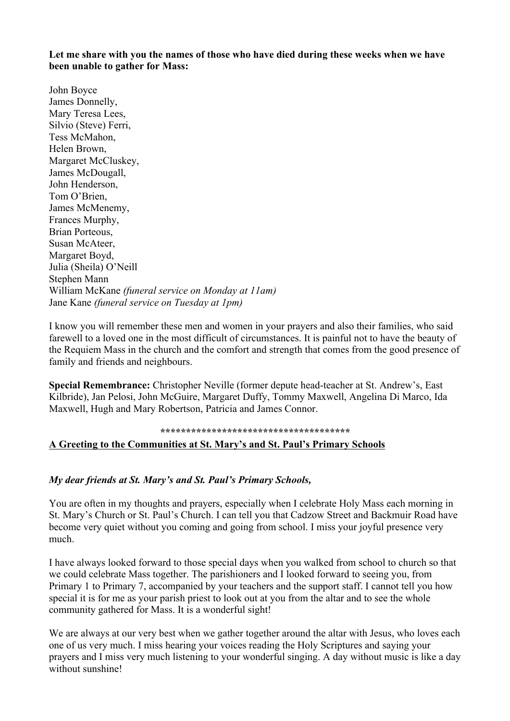**Let me share with you the names of those who have died during these weeks when we have been unable to gather for Mass:**

John Boyce James Donnelly, Mary Teresa Lees, Silvio (Steve) Ferri, Tess McMahon, Helen Brown, Margaret McCluskey, James McDougall, John Henderson, Tom O'Brien, James McMenemy, Frances Murphy, Brian Porteous, Susan McAteer, Margaret Boyd, Julia (Sheila) O'Neill Stephen Mann William McKane *(funeral service on Monday at 11am)* Jane Kane *(funeral service on Tuesday at 1pm)*

I know you will remember these men and women in your prayers and also their families, who said farewell to a loved one in the most difficult of circumstances. It is painful not to have the beauty of the Requiem Mass in the church and the comfort and strength that comes from the good presence of family and friends and neighbours.

**Special Remembrance:** Christopher Neville (former depute head-teacher at St. Andrew's, East Kilbride), Jan Pelosi, John McGuire, Margaret Duffy, Tommy Maxwell, Angelina Di Marco, Ida Maxwell, Hugh and Mary Robertson, Patricia and James Connor.

# **\*\*\*\*\*\*\*\*\*\*\*\*\*\*\*\*\*\*\*\*\*\*\*\*\*\*\*\*\*\*\*\*\*\*\*\*\***

### **A Greeting to the Communities at St. Mary's and St. Paul's Primary Schools**

### *My dear friends at St. Mary's and St. Paul's Primary Schools,*

You are often in my thoughts and prayers, especially when I celebrate Holy Mass each morning in St. Mary's Church or St. Paul's Church. I can tell you that Cadzow Street and Backmuir Road have become very quiet without you coming and going from school. I miss your joyful presence very much.

I have always looked forward to those special days when you walked from school to church so that we could celebrate Mass together. The parishioners and I looked forward to seeing you, from Primary 1 to Primary 7, accompanied by your teachers and the support staff. I cannot tell you how special it is for me as your parish priest to look out at you from the altar and to see the whole community gathered for Mass. It is a wonderful sight!

We are always at our very best when we gather together around the altar with Jesus, who loves each one of us very much. I miss hearing your voices reading the Holy Scriptures and saying your prayers and I miss very much listening to your wonderful singing. A day without music is like a day without sunshine!